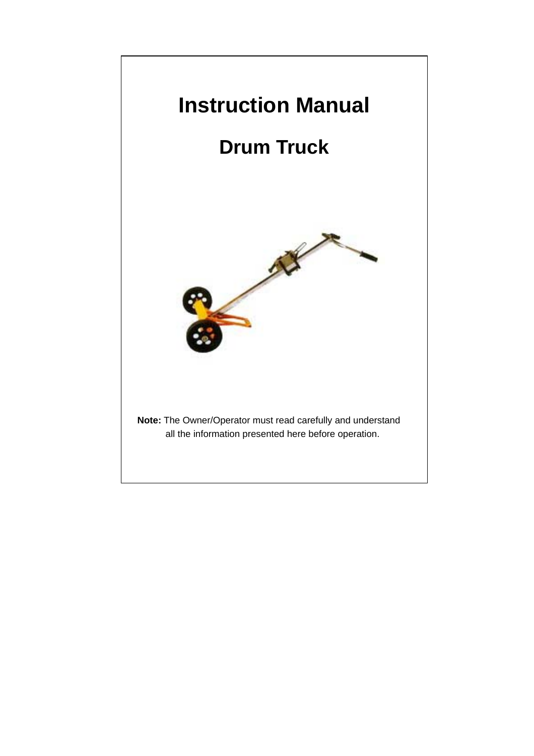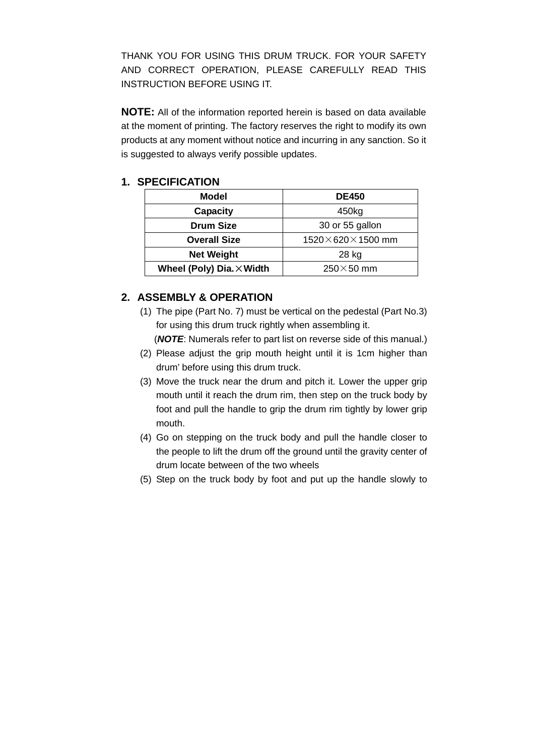THANK YOU FOR USING THIS DRUM TRUCK. FOR YOUR SAFETY AND CORRECT OPERATION, PLEASE CAREFULLY READ THIS INSTRUCTION BEFORE USING IT.

**NOTE:** All of the information reported herein is based on data available at the moment of printing. The factory reserves the right to modify its own products at any moment without notice and incurring in any sanction. So it is suggested to always verify possible updates.

## **1. SPECIFICATION**

| Model                            | <b>DE450</b>                 |  |  |  |  |
|----------------------------------|------------------------------|--|--|--|--|
| <b>Capacity</b>                  | 450kg                        |  |  |  |  |
| <b>Drum Size</b>                 | 30 or 55 gallon              |  |  |  |  |
| <b>Overall Size</b>              | $1520\times620\times1500$ mm |  |  |  |  |
| <b>Net Weight</b>                | 28 kg                        |  |  |  |  |
| Wheel (Poly) Dia. $\times$ Width | $250\times50$ mm             |  |  |  |  |

## **2. ASSEMBLY & OPERATION**

(1) The pipe (Part No. 7) must be vertical on the pedestal (Part No.3) for using this drum truck rightly when assembling it.

(*NOTE*: Numerals refer to part list on reverse side of this manual.)

- (2) Please adjust the grip mouth height until it is 1cm higher than drum' before using this drum truck.
- (3) Move the truck near the drum and pitch it. Lower the upper grip mouth until it reach the drum rim, then step on the truck body by foot and pull the handle to grip the drum rim tightly by lower grip mouth.
- (4) Go on stepping on the truck body and pull the handle closer to the people to lift the drum off the ground until the gravity center of drum locate between of the two wheels
- (5) Step on the truck body by foot and put up the handle slowly to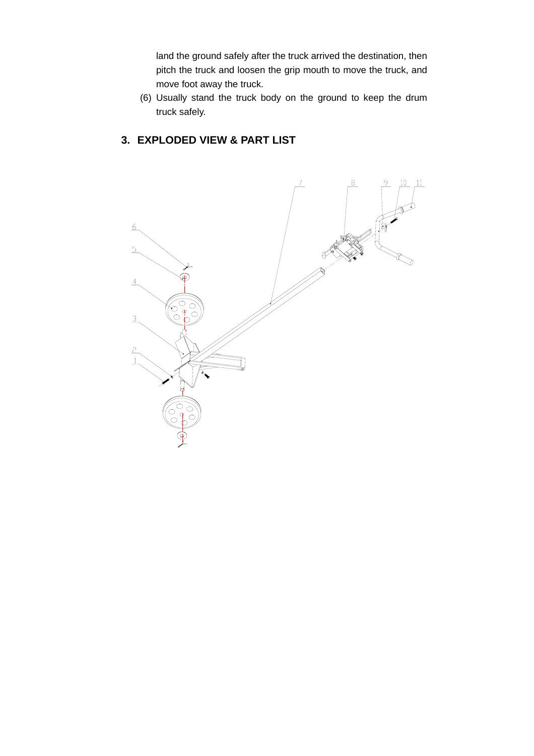land the ground safely after the truck arrived the destination, then pitch the truck and loosen the grip mouth to move the truck, and move foot away the truck.

(6) Usually stand the truck body on the ground to keep the drum truck safely.

## **3. EXPLODED VIEW & PART LIST**